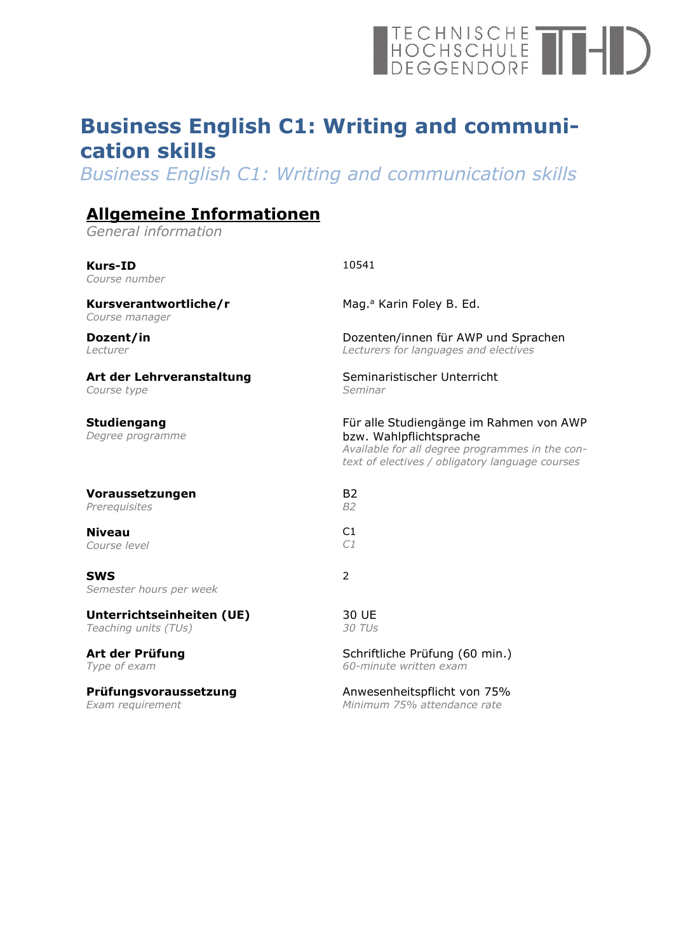# TECHNISCHE TH

## **Business English C1: Writing and communication skills**

*Business English C1: Writing and communication skills*

### **Allgemeine Informationen**

*General information*

| <b>Kurs-ID</b><br>Course number         | 10541                                                                                                                                                                    |
|-----------------------------------------|--------------------------------------------------------------------------------------------------------------------------------------------------------------------------|
| Kursverantwortliche/r<br>Course manager | Mag. <sup>a</sup> Karin Foley B. Ed.                                                                                                                                     |
| Dozent/in                               | Dozenten/innen für AWP und Sprachen                                                                                                                                      |
| Lecturer                                | Lecturers for languages and electives                                                                                                                                    |
| Art der Lehrveranstaltung               | Seminaristischer Unterricht                                                                                                                                              |
| Course type                             | Seminar                                                                                                                                                                  |
| <b>Studiengang</b><br>Degree programme  | Für alle Studiengänge im Rahmen von AWP<br>bzw. Wahlpflichtsprache<br>Available for all degree programmes in the con-<br>text of electives / obligatory language courses |
| Voraussetzungen                         | <b>B2</b>                                                                                                                                                                |
| Prerequisites                           | <b>B2</b>                                                                                                                                                                |
| <b>Niveau</b>                           | C1                                                                                                                                                                       |
| Course level                            | C1                                                                                                                                                                       |
| <b>SWS</b><br>Semester hours per week   | 2                                                                                                                                                                        |
| Unterrichtseinheiten (UE)               | 30 UE                                                                                                                                                                    |
| Teaching units (TUs)                    | 30 TUs                                                                                                                                                                   |
| Art der Prüfung                         | Schriftliche Prüfung (60 min.)                                                                                                                                           |
| Type of exam                            | 60-minute written exam                                                                                                                                                   |
| Prüfungsvoraussetzung                   | Anwesenheitspflicht von 75%                                                                                                                                              |
| Exam requirement                        | Minimum 75% attendance rate                                                                                                                                              |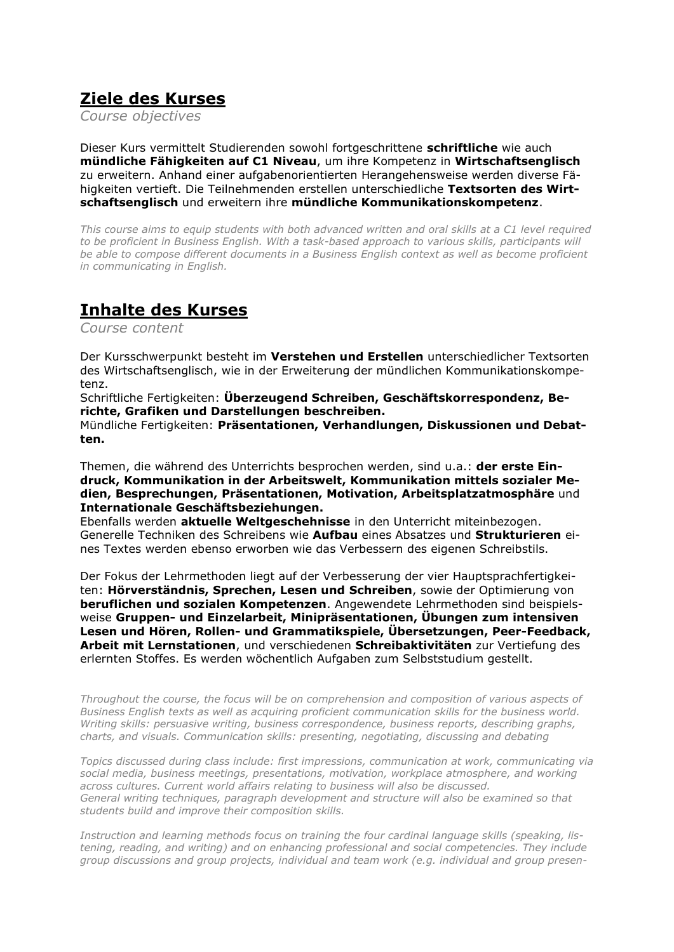#### **Ziele des Kurses**

*Course objectives*

Dieser Kurs vermittelt Studierenden sowohl fortgeschrittene **schriftliche** wie auch **mündliche Fähigkeiten auf C1 Niveau**, um ihre Kompetenz in **Wirtschaftsenglisch** zu erweitern. Anhand einer aufgabenorientierten Herangehensweise werden diverse Fähigkeiten vertieft. Die Teilnehmenden erstellen unterschiedliche **Textsorten des Wirtschaftsenglisch** und erweitern ihre **mündliche Kommunikationskompetenz**.

*This course aims to equip students with both advanced written and oral skills at a C1 level required*  to be proficient in Business English. With a task-based approach to various skills, participants will be able to compose different documents in a Business English context as well as become proficient *in communicating in English.*

#### **Inhalte des Kurses**

*Course content*

Der Kursschwerpunkt besteht im **Verstehen und Erstellen** unterschiedlicher Textsorten des Wirtschaftsenglisch, wie in der Erweiterung der mündlichen Kommunikationskompetenz.

Schriftliche Fertigkeiten: **Überzeugend Schreiben, Geschäftskorrespondenz, Berichte, Grafiken und Darstellungen beschreiben.**

Mündliche Fertigkeiten: **Präsentationen, Verhandlungen, Diskussionen und Debatten.**

Themen, die während des Unterrichts besprochen werden, sind u.a.: **der erste Eindruck, Kommunikation in der Arbeitswelt, Kommunikation mittels sozialer Medien, Besprechungen, Präsentationen, Motivation, Arbeitsplatzatmosphäre** und **Internationale Geschäftsbeziehungen.**

Ebenfalls werden **aktuelle Weltgeschehnisse** in den Unterricht miteinbezogen. Generelle Techniken des Schreibens wie **Aufbau** eines Absatzes und **Strukturieren** eines Textes werden ebenso erworben wie das Verbessern des eigenen Schreibstils.

Der Fokus der Lehrmethoden liegt auf der Verbesserung der vier Hauptsprachfertigkeiten: **Hörverständnis, Sprechen, Lesen und Schreiben**, sowie der Optimierung von **beruflichen und sozialen Kompetenzen**. Angewendete Lehrmethoden sind beispielsweise **Gruppen- und Einzelarbeit, Minipräsentationen, Übungen zum intensiven Lesen und Hören, Rollen- und Grammatikspiele, Übersetzungen, Peer-Feedback, Arbeit mit Lernstationen**, und verschiedenen **Schreibaktivitäten** zur Vertiefung des erlernten Stoffes. Es werden wöchentlich Aufgaben zum Selbststudium gestellt.

*Throughout the course, the focus will be on comprehension and composition of various aspects of Business English texts as well as acquiring proficient communication skills for the business world. Writing skills: persuasive writing, business correspondence, business reports, describing graphs, charts, and visuals. Communication skills: presenting, negotiating, discussing and debating*

*Topics discussed during class include: first impressions, communication at work, communicating via social media, business meetings, presentations, motivation, workplace atmosphere, and working across cultures. Current world affairs relating to business will also be discussed. General writing techniques, paragraph development and structure will also be examined so that students build and improve their composition skills.*

*Instruction and learning methods focus on training the four cardinal language skills (speaking, listening, reading, and writing) and on enhancing professional and social competencies. They include group discussions and group projects, individual and team work (e.g. individual and group presen-*